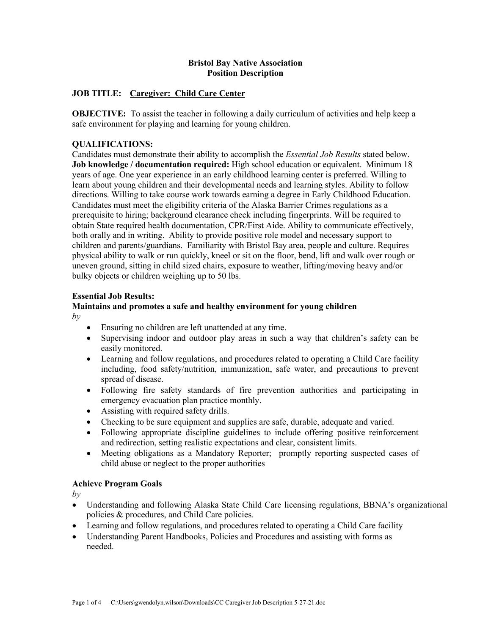## **Bristol Bay Native Association Position Description**

## **JOB TITLE: Caregiver: Child Care Center**

**OBJECTIVE:** To assist the teacher in following a daily curriculum of activities and help keep a safe environment for playing and learning for young children.

## **QUALIFICATIONS:**

Candidates must demonstrate their ability to accomplish the *Essential Job Results* stated below. **Job knowledge / documentation required:** High school education or equivalent. Minimum 18 years of age. One year experience in an early childhood learning center is preferred. Willing to learn about young children and their developmental needs and learning styles. Ability to follow directions. Willing to take course work towards earning a degree in Early Childhood Education. Candidates must meet the eligibility criteria of the Alaska Barrier Crimes regulations as a prerequisite to hiring; background clearance check including fingerprints. Will be required to obtain State required health documentation, CPR/First Aide. Ability to communicate effectively, both orally and in writing. Ability to provide positive role model and necessary support to children and parents/guardians. Familiarity with Bristol Bay area, people and culture. Requires physical ability to walk or run quickly, kneel or sit on the floor, bend, lift and walk over rough or uneven ground, sitting in child sized chairs, exposure to weather, lifting/moving heavy and/or bulky objects or children weighing up to 50 lbs.

## **Essential Job Results:**

## **Maintains and promotes a safe and healthy environment for young children**  $b\nu$

- Ensuring no children are left unattended at any time.
- Supervising indoor and outdoor play areas in such a way that children's safety can be easily monitored.
- Learning and follow regulations, and procedures related to operating a Child Care facility including, food safety/nutrition, immunization, safe water, and precautions to prevent spread of disease.
- Following fire safety standards of fire prevention authorities and participating in emergency evacuation plan practice monthly.
- Assisting with required safety drills.
- Checking to be sure equipment and supplies are safe, durable, adequate and varied.
- Following appropriate discipline guidelines to include offering positive reinforcement and redirection, setting realistic expectations and clear, consistent limits.
- Meeting obligations as a Mandatory Reporter; promptly reporting suspected cases of child abuse or neglect to the proper authorities

## **Achieve Program Goals**

*by*

- Understanding and following Alaska State Child Care licensing regulations, BBNA's organizational policies & procedures, and Child Care policies.
- Learning and follow regulations, and procedures related to operating a Child Care facility
- Understanding Parent Handbooks, Policies and Procedures and assisting with forms as needed.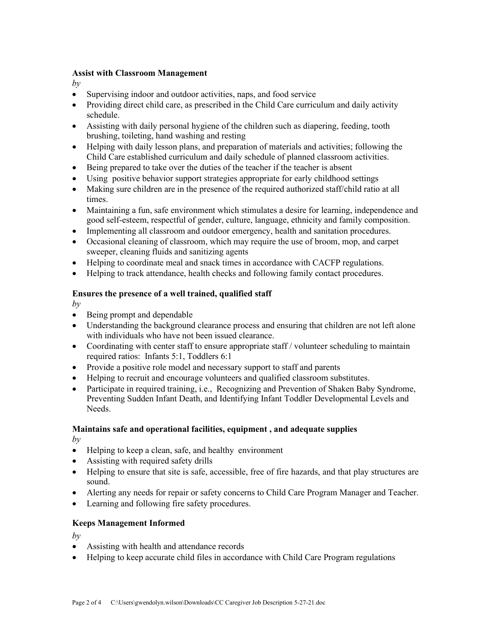## **Assist with Classroom Management**

 $b\nu$ 

- Supervising indoor and outdoor activities, naps, and food service
- Providing direct child care, as prescribed in the Child Care curriculum and daily activity schedule.
- Assisting with daily personal hygiene of the children such as diapering, feeding, tooth brushing, toileting, hand washing and resting
- Helping with daily lesson plans, and preparation of materials and activities; following the Child Care established curriculum and daily schedule of planned classroom activities.
- Being prepared to take over the duties of the teacher if the teacher is absent
- Using positive behavior support strategies appropriate for early childhood settings
- Making sure children are in the presence of the required authorized staff/child ratio at all times.
- Maintaining a fun, safe environment which stimulates a desire for learning, independence and good self-esteem, respectful of gender, culture, language, ethnicity and family composition.
- Implementing all classroom and outdoor emergency, health and sanitation procedures.
- Occasional cleaning of classroom, which may require the use of broom, mop, and carpet sweeper, cleaning fluids and sanitizing agents
- Helping to coordinate meal and snack times in accordance with CACFP regulations.
- Helping to track attendance, health checks and following family contact procedures.

## **Ensures the presence of a well trained, qualified staff**

 $b\nu$ 

- Being prompt and dependable
- Understanding the background clearance process and ensuring that children are not left alone with individuals who have not been issued clearance.
- Coordinating with center staff to ensure appropriate staff / volunteer scheduling to maintain required ratios: Infants 5:1, Toddlers 6:1
- Provide a positive role model and necessary support to staff and parents
- Helping to recruit and encourage volunteers and qualified classroom substitutes.
- Participate in required training, i.e., Recognizing and Prevention of Shaken Baby Syndrome, Preventing Sudden Infant Death, and Identifying Infant Toddler Developmental Levels and Needs.

## **Maintains safe and operational facilities, equipment , and adequate supplies**

*by*

- Helping to keep a clean, safe, and healthy environment
- Assisting with required safety drills
- Helping to ensure that site is safe, accessible, free of fire hazards, and that play structures are sound.
- Alerting any needs for repair or safety concerns to Child Care Program Manager and Teacher.
- Learning and following fire safety procedures.

# **Keeps Management Informed**

 $b\nu$ 

- Assisting with health and attendance records
- Helping to keep accurate child files in accordance with Child Care Program regulations